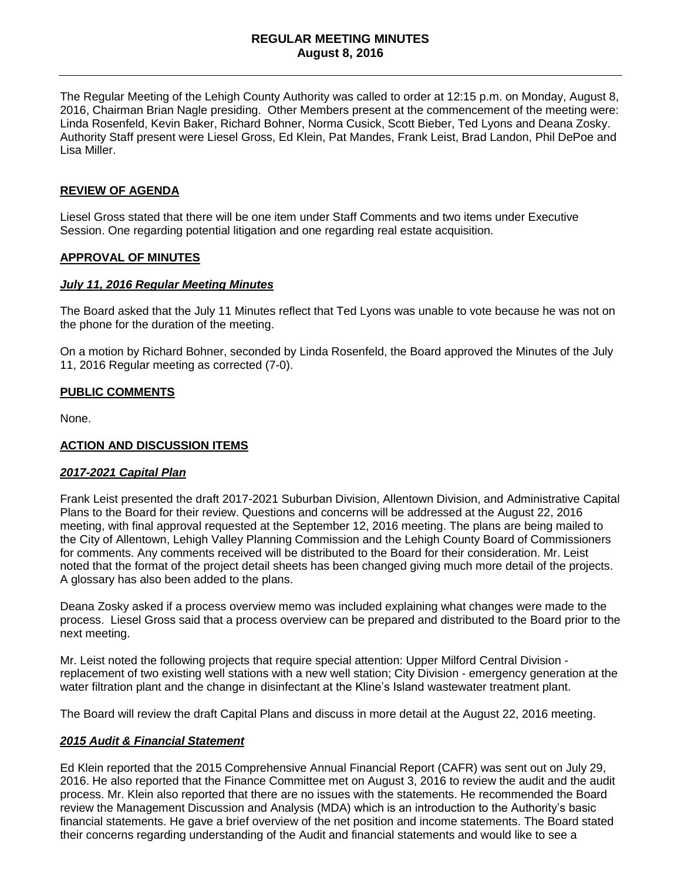#### **REGULAR MEETING MINUTES August 8, 2016**

The Regular Meeting of the Lehigh County Authority was called to order at 12:15 p.m. on Monday, August 8, 2016, Chairman Brian Nagle presiding. Other Members present at the commencement of the meeting were: Linda Rosenfeld, Kevin Baker, Richard Bohner, Norma Cusick, Scott Bieber, Ted Lyons and Deana Zosky. Authority Staff present were Liesel Gross, Ed Klein, Pat Mandes, Frank Leist, Brad Landon, Phil DePoe and Lisa Miller.

### **REVIEW OF AGENDA**

Liesel Gross stated that there will be one item under Staff Comments and two items under Executive Session. One regarding potential litigation and one regarding real estate acquisition.

#### **APPROVAL OF MINUTES**

#### *July 11, 2016 Regular Meeting Minutes*

The Board asked that the July 11 Minutes reflect that Ted Lyons was unable to vote because he was not on the phone for the duration of the meeting.

On a motion by Richard Bohner, seconded by Linda Rosenfeld, the Board approved the Minutes of the July 11, 2016 Regular meeting as corrected (7-0).

#### **PUBLIC COMMENTS**

None.

#### **ACTION AND DISCUSSION ITEMS**

#### *2017-2021 Capital Plan*

Frank Leist presented the draft 2017-2021 Suburban Division, Allentown Division, and Administrative Capital Plans to the Board for their review. Questions and concerns will be addressed at the August 22, 2016 meeting, with final approval requested at the September 12, 2016 meeting. The plans are being mailed to the City of Allentown, Lehigh Valley Planning Commission and the Lehigh County Board of Commissioners for comments. Any comments received will be distributed to the Board for their consideration. Mr. Leist noted that the format of the project detail sheets has been changed giving much more detail of the projects. A glossary has also been added to the plans.

Deana Zosky asked if a process overview memo was included explaining what changes were made to the process. Liesel Gross said that a process overview can be prepared and distributed to the Board prior to the next meeting.

Mr. Leist noted the following projects that require special attention: Upper Milford Central Division replacement of two existing well stations with a new well station; City Division - emergency generation at the water filtration plant and the change in disinfectant at the Kline's Island wastewater treatment plant.

The Board will review the draft Capital Plans and discuss in more detail at the August 22, 2016 meeting.

#### *2015 Audit & Financial Statement*

Ed Klein reported that the 2015 Comprehensive Annual Financial Report (CAFR) was sent out on July 29, 2016. He also reported that the Finance Committee met on August 3, 2016 to review the audit and the audit process. Mr. Klein also reported that there are no issues with the statements. He recommended the Board review the Management Discussion and Analysis (MDA) which is an introduction to the Authority's basic financial statements. He gave a brief overview of the net position and income statements. The Board stated their concerns regarding understanding of the Audit and financial statements and would like to see a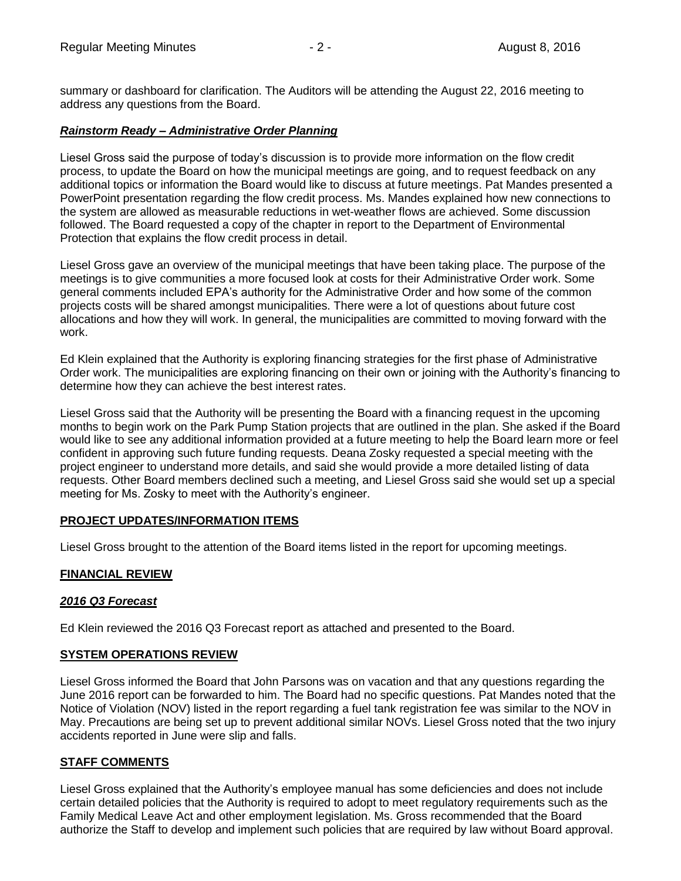summary or dashboard for clarification. The Auditors will be attending the August 22, 2016 meeting to address any questions from the Board.

# *Rainstorm Ready – Administrative Order Planning*

Liesel Gross said the purpose of today's discussion is to provide more information on the flow credit process, to update the Board on how the municipal meetings are going, and to request feedback on any additional topics or information the Board would like to discuss at future meetings. Pat Mandes presented a PowerPoint presentation regarding the flow credit process. Ms. Mandes explained how new connections to the system are allowed as measurable reductions in wet-weather flows are achieved. Some discussion followed. The Board requested a copy of the chapter in report to the Department of Environmental Protection that explains the flow credit process in detail.

Liesel Gross gave an overview of the municipal meetings that have been taking place. The purpose of the meetings is to give communities a more focused look at costs for their Administrative Order work. Some general comments included EPA's authority for the Administrative Order and how some of the common projects costs will be shared amongst municipalities. There were a lot of questions about future cost allocations and how they will work. In general, the municipalities are committed to moving forward with the work.

Ed Klein explained that the Authority is exploring financing strategies for the first phase of Administrative Order work. The municipalities are exploring financing on their own or joining with the Authority's financing to determine how they can achieve the best interest rates.

Liesel Gross said that the Authority will be presenting the Board with a financing request in the upcoming months to begin work on the Park Pump Station projects that are outlined in the plan. She asked if the Board would like to see any additional information provided at a future meeting to help the Board learn more or feel confident in approving such future funding requests. Deana Zosky requested a special meeting with the project engineer to understand more details, and said she would provide a more detailed listing of data requests. Other Board members declined such a meeting, and Liesel Gross said she would set up a special meeting for Ms. Zosky to meet with the Authority's engineer.

#### **PROJECT UPDATES/INFORMATION ITEMS**

Liesel Gross brought to the attention of the Board items listed in the report for upcoming meetings.

# **FINANCIAL REVIEW**

#### *2016 Q3 Forecast*

Ed Klein reviewed the 2016 Q3 Forecast report as attached and presented to the Board.

# **SYSTEM OPERATIONS REVIEW**

Liesel Gross informed the Board that John Parsons was on vacation and that any questions regarding the June 2016 report can be forwarded to him. The Board had no specific questions. Pat Mandes noted that the Notice of Violation (NOV) listed in the report regarding a fuel tank registration fee was similar to the NOV in May. Precautions are being set up to prevent additional similar NOVs. Liesel Gross noted that the two injury accidents reported in June were slip and falls.

# **STAFF COMMENTS**

Liesel Gross explained that the Authority's employee manual has some deficiencies and does not include certain detailed policies that the Authority is required to adopt to meet regulatory requirements such as the Family Medical Leave Act and other employment legislation. Ms. Gross recommended that the Board authorize the Staff to develop and implement such policies that are required by law without Board approval.